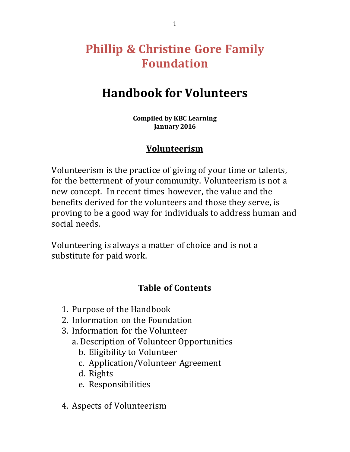# **Phillip & Christine Gore Family Foundation**

# **Handbook for Volunteers**

**Compiled by KBC Learning January 2016**

#### **Volunteerism**

Volunteerism is the practice of giving of your time or talents, for the betterment of your community. Volunteerism is not a new concept. In recent times however, the value and the benefits derived for the volunteers and those they serve, is proving to be a good way for individuals to address human and social needs.

Volunteering is always a matter of choice and is not a substitute for paid work.

#### **Table of Contents**

- 1. Purpose of the Handbook
- 2. Information on the Foundation
- 3. Information for the Volunteer
	- a. Description of Volunteer Opportunities
		- b. Eligibility to Volunteer
		- c. Application/Volunteer Agreement
		- d. Rights
		- e. Responsibilities
- 4. Aspects of Volunteerism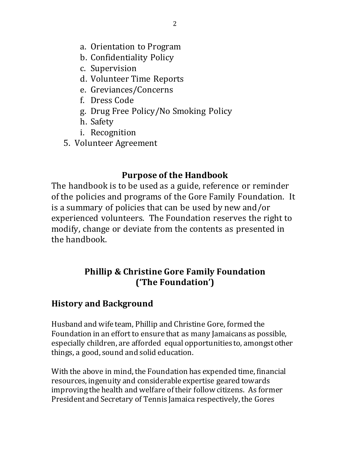- a. Orientation to Program
- b. Confidentiality Policy
- c. Supervision
- d. Volunteer Time Reports
- e. Greviances/Concerns
- f. Dress Code
- g. Drug Free Policy/No Smoking Policy
- h. Safety
- i. Recognition
- 5. Volunteer Agreement

#### **Purpose of the Handbook**

The handbook is to be used as a guide, reference or reminder of the policies and programs of the Gore Family Foundation. It is a summary of policies that can be used by new and/or experienced volunteers. The Foundation reserves the right to modify, change or deviate from the contents as presented in the handbook.

### **Phillip & Christine Gore Family Foundation ('The Foundation')**

### **History and Background**

Husband and wife team, Phillip and Christine Gore, formed the Foundation in an effort to ensure that as many Jamaicans as possible, especially children, are afforded equal opportunities to, amongst other things, a good, sound and solid education.

With the above in mind, the Foundation has expended time, financial resources, ingenuity and considerable expertise geared towards improving the health and welfare of their follow citizens. As former President and Secretary of Tennis Jamaica respectively, the Gores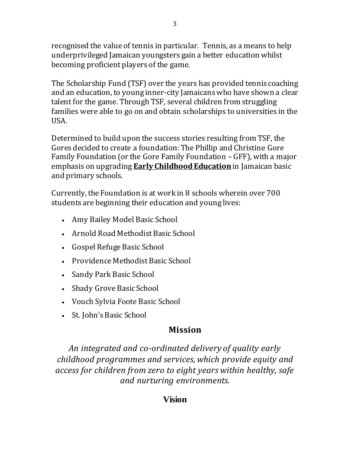recognised the value of tennis in particular. Tennis, as a means to help underprivileged Jamaican youngsters gain a better education whilst becoming proficient players of the game.

The Scholarship Fund (TSF) over the years has provided tennis coaching and an education, to young inner-city Jamaicans who have shown a clear talent for the game. Through TSF, several children from struggling families were able to go on and obtain scholarships to universities in the **IISA** 

Determined to build upon the [success stories](http://gorefoundation.com/gore/success-stories/) resulting from TSF, the Gores decided to create a foundation: The Phillip and Christine Gore Family Foundation (or the Gore Family Foundation – GFF), with a major emphasis on upgrading **Early Childhood Education** in Jamaican basic and primary schools.

Currently, the Foundation is at work in 8 schools wherein over 700 students are beginning their education and young lives:

- Amy Bailey Model Basic School
- Arnold Road Methodist Basic School
- Gospel Refuge Basic School
- Providence Methodist Basic School
- Sandy Park Basic School
- Shady Grove Basic School
- Vouch Sylvia Foote Basic School
- St. John's Basic School

### **Mission**

*An integrated and co-ordinated delivery of quality early childhood programmes and services, which provide equity and access for children from zero to eight years within healthy, safe and nurturing environments.*

### **Vision**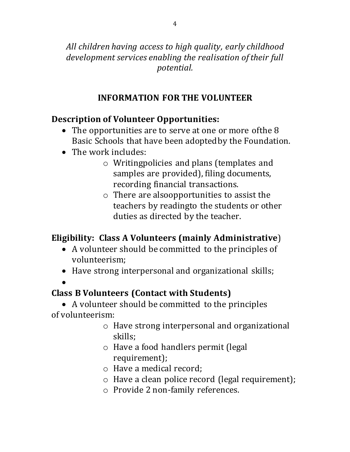*All children having access to high quality, early childhood development services enabling the realisation of their full potential.*

# **INFORMATION FOR THE VOLUNTEER**

## **Description of Volunteer Opportunities:**

- The opportunities are to serve at one or more of the 8 Basic Schools that have been adoptedby the Foundation.
- The work includes:
	- o Writingpolicies and plans (templates and samples are provided), filing documents, recording financial transactions.
	- o There are alsoopportunities to assist the teachers by readingto the students or other duties as directed by the teacher.

# **Eligibility: Class A Volunteers (mainly Administrative**)

- A volunteer should be committed to the principles of volunteerism;
- Have strong interpersonal and organizational skills;
- $\bullet$

# **Class B Volunteers (Contact with Students)**

 A volunteer should be committed to the principles of volunteerism:

- o Have strong interpersonal and organizational skills;
- o Have a food handlers permit (legal requirement);
- o Have a medical record;
- o Have a clean police record (legal requirement);
- o Provide 2 non-family references.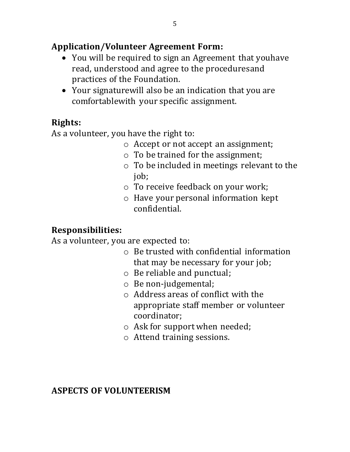### **Application/Volunteer Agreement Form:**

- You will be required to sign an Agreement that youhave read, understood and agree to the proceduresand practices of the Foundation.
- Your signaturewill also be an indication that you are comfortablewith your specific assignment.

# **Rights:**

As a volunteer, you have the right to:

- o Accept or not accept an assignment;
- o To be trained for the assignment;
- o To be included in meetings relevant to the job;
- o To receive feedback on your work;
- o Have your personal information kept confidential.

# **Responsibilities:**

As a volunteer, you are expected to:

- o Be trusted with confidential information that may be necessary for your job;
- o Be reliable and punctual;
- o Be non-judgemental;
- o Address areas of conflict with the appropriate staff member or volunteer coordinator;
- o Ask for support when needed;
- o Attend training sessions.

### **ASPECTS OF VOLUNTEERISM**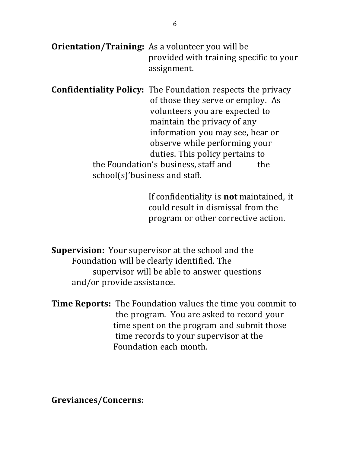| <b>Orientation/Training:</b> As a volunteer you will be |
|---------------------------------------------------------|
| provided with training specific to your                 |
| assignment.                                             |

**Confidentiality Policy:** The Foundation respects the privacy of those they serve or employ. As volunteers you are expected to maintain the privacy of any information you may see, hear or observe while performing your duties. This policy pertains to the Foundation's business, staff and the school(s)'business and staff.

> If confidentiality is **not** maintained, it could result in dismissal from the program or other corrective action.

**Supervision:** Your supervisor at the school and the Foundation will be clearly identified. The supervisor will be able to answer questions and/or provide assistance.

**Time Reports:** The Foundation values the time you commit to the program. You are asked to record your time spent on the program and submit those time records to your supervisor at the Foundation each month.

**Greviances/Concerns:**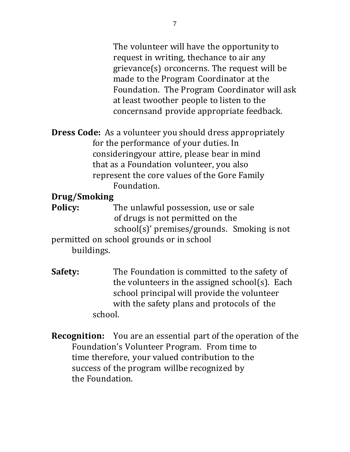The volunteer will have the opportunity to request in writing, thechance to air any grievance(s) orconcerns. The request will be made to the Program Coordinator at the Foundation. The Program Coordinator will ask at least twoother people to listen to the concernsand provide appropriate feedback.

**Dress Code:** As a volunteer you should dress appropriately for the performance of your duties. In consideringyour attire, please bear in mind that as a Foundation volunteer, you also represent the core values of the Gore Family Foundation.

### **Drug/Smoking**

**Policy:** The unlawful possession, use or sale of drugs is not permitted on the school(s)' premises/grounds. Smoking is not permitted on school grounds or in school buildings.

**Safety:** The Foundation is committed to the safety of the volunteers in the assigned school(s). Each school principal will provide the volunteer with the safety plans and protocols of the school.

**Recognition:** You are an essential part of the operation of the Foundation's Volunteer Program. From time to time therefore, your valued contribution to the success of the program willbe recognized by the Foundation.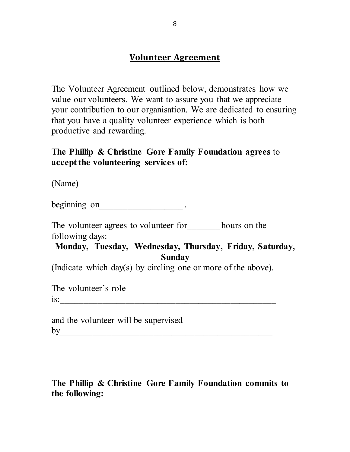#### **Volunteer Agreement**

**The Volunteer Agreement outlined below, demonstrates how we value our volunteers. We want to assure you that we appreciate your contribution to our organisation. We are dedicated to ensuring that you have a quality volunteer experience which is both productive and rewarding.** 

**The Phillip & Christine Gore Family Foundation agrees to accept the volunteering services of:**

| (Name)                                                        |
|---------------------------------------------------------------|
| beginning on                                                  |
| The volunteer agrees to volunteer for hours on the            |
| following days:                                               |
| Monday, Tuesday, Wednesday, Thursday, Friday, Saturday,       |
| Sunday                                                        |
| (Indicate which day(s) by circling one or more of the above). |
| The volunteer's role                                          |
| is:                                                           |
| and the volunteer will be supervised<br>bv                    |

### **The Phillip & Christine Gore Family Foundation commits to the following:**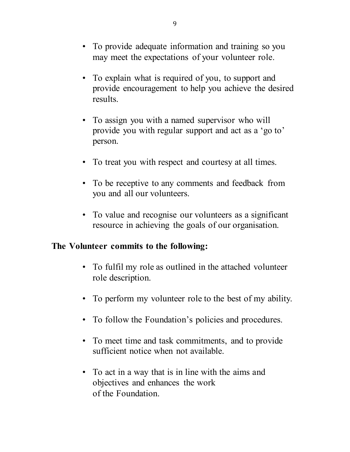- **• To provide adequate information and training so you may meet the expectations of your volunteer role.**
- **• To explain what is required of you, to support and provide encouragement to help you achieve the desired results.**
- **• To assign you with a named supervisor who will provide you with regular support and act as a 'go to' person.**
- **• To treat you with respect and courtesy at all times.**
- **• To be receptive to any comments and feedback from you and all our volunteers.**
- **• To value and recognise our volunteers as a significant resource in achieving the goals of our organisation.**

#### **The Volunteer commits to the following:**

- **• To fulfil my role as outlined in the attached volunteer role description.**
- **• To perform my volunteer role to the best of my ability.**
- **• To follow the Foundation's policies and procedures.**
- **• To meet time and task commitments, and to provide sufficient notice when not available.**
- **• To act in a way that is in line with the aims and objectives and enhances the work of the Foundation.**